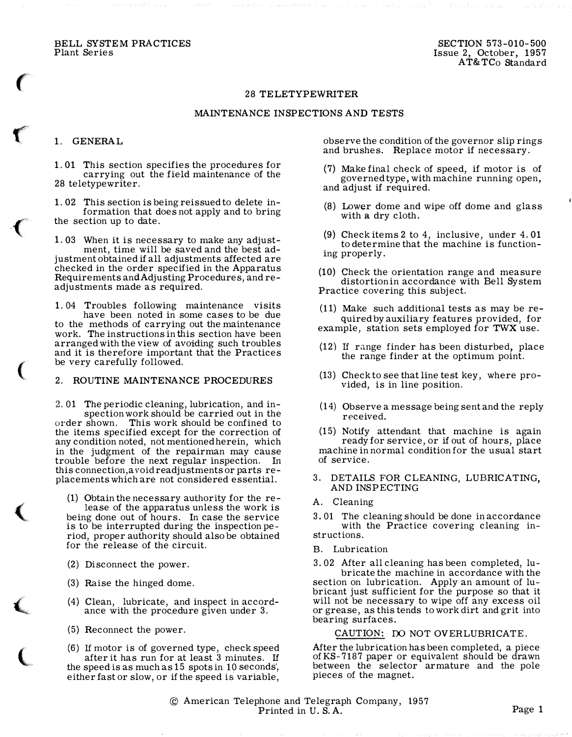BELL SYSTEM PRACTICES Plant Series

### 28 TELETYPEWRITER

## MAINTENANCE INSPECTIONS AND TESTS

## 1. GENERAL

 $\big($ 

 $\mathbf$ 

 $\big($ 

 $\big($ 

 $\blacklozenge$ 

 $\left(\right|$ 

 $\overline{\mathbf{C}}$ 

1. 01 This section specifies the procedures for carrying out the field maintenance of the 28 teletypewriter.

1. 02 This section is being reissued to delete information that does not apply and to bring the section up to date.

1. 03 When it is necessary to make any adjust-

ment, time will be saved and the best adjustment obtained if all adjustments affected are checked in the order specified in the Apparatus Requirements and Adjusting Procedures, and readjustments made as required.

1. 04 Troubles following maintenance visits have been noted in some cases to be due to the methods of carrying out the maintenance work. The instructions in this section have been arranged with the view of avoiding such troubles and it is therefore important that the Practices be very carefully followed.

# 2. ROUTINE MAINTENANCE PROCEDURES

2. 01 The periodic cleaning, lubrication, and inspection work should be carried out in the order shown. This work should be confined to the items specified except for the correction of any condition noted, not mentioned herein, which in the judgment of the repairman may cause trouble before the next regular inspection. In this connection,a void readjustments or parts replacements which are not considered essential.

(1) Obtain the necessary authority for the release of the apparatus unless the work is being done out of hours. In case the service is to be interrupted during the inspection period, proper authority should also be obtained for the release of the circuit.

- (2) Disconnect the power.
- (3) Raise the hinged dome.
- (4) Clean, lubricate, and inspect in accordance with the procedure given under 3.
- (5) Reconnect the power.
- (6) If motor is of governed type, check speed after it has run for at least 3 minutes. If the speed is as much as 15 spots in 10 seconds, either fast or slow, or if the speed is variable,

observe the condition of the governor slip rings and brushes. Replace motor if necessary.

- (7) Make final check of speed, if motor is of governed type, with machine running open, and adjust if required.
- (8) Lower dome and wipe off dome and glass with a dry cloth.
- (9) Check items 2 to 4, inclusive, under 4. 01 to determine that the machine is functioning properly.
- (10) Check the orientation range and measure distortion in accordance with Bell System Practice covering this subject.

(11) Make such additional tests as may be required by auxiliary features provided, for example, station sets employed for TWX use.

- (12) If range finder has been disturbed, place the range finder at the optimum point.
- (13) Check to see that line test key, where provided, is in line position.
- (14) Observe a message being sent and the reply received.

(15) Notify attendant that machine is again ready for service, or if out of hours, place machine in normal condition for the usual start of service.

- DETAILS FOR CLEANING, LUBRICATING, AND INSPECTING
- A. Cleaning

3. 01 The cleaning should be done in accordance with the Practice covering cleaning instructions.

B. Lubrication

3. 02 After all cleaning has been completed, lubricate the machine in accordance with the section on lubrication. Apply an amount of lubricant just sufficient for the purpose so that it will not be necessary to wipe off any excess oil or grease, as this tends to work dirt and grit into bearing surfaces.

# CAUTION: DO NOT OVERLUBRICATE.

After the lubrication has been completed, a piece ofKS-7187 paper or equivalent should be drawn between the selector armature and the pole pieces of the magnet.

© American Telephone and Telegraph Company, 1957 Printed in U.S.A. Page 1